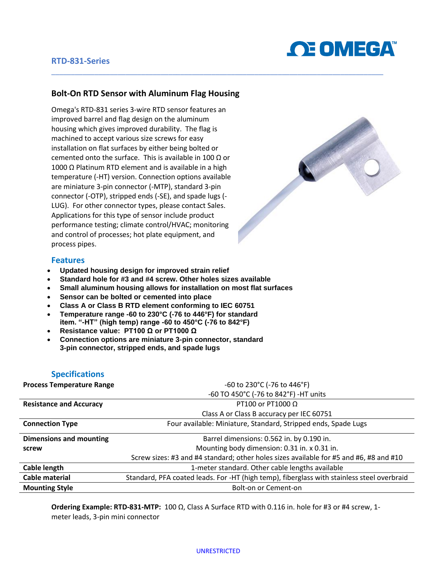

## **RTD-831-Series**

## **Bolt-On RTD Sensor with Aluminum Flag Housing**

Omega's RTD-831 series 3-wire RTD sensor features an improved barrel and flag design on the aluminum housing which gives improved durability. The flag is machined to accept various size screws for easy installation on flat surfaces by either being bolted or cemented onto the surface. This is available in 100  $\Omega$  or 1000 Ω Platinum RTD element and is available in a high temperature (-HT) version. Connection options available are miniature 3-pin connector (-MTP), standard 3-pin connector (-OTP), stripped ends (-SE), and spade lugs (- LUG). For other connector types, please contact Sales. Applications for this type of sensor include product performance testing; climate control/HVAC; monitoring and control of processes; hot plate equipment, and process pipes.



#### **Features**

- **Updated housing design for improved strain relief**
- **Standard hole for #3 and #4 screw. Other holes sizes available**
- **Small aluminum housing allows for installation on most flat surfaces**
- **Sensor can be bolted or cemented into place**
- **Class A or Class B RTD element conforming to IEC 60751**
- **Temperature range -60 to 230°C (-76 to 446°F) for standard item. "-HT" (high temp) range -60 to 450°C (-76 to 842°F)**
- **Resistance value: PT100 Ω or PT1000 Ω**
- **Connection options are miniature 3-pin connector, standard 3-pin connector, stripped ends, and spade lugs**

### **Specifications**

| <b>Process Temperature Range</b> | -60 to 230°C (-76 to 446°F)                                                                |  |
|----------------------------------|--------------------------------------------------------------------------------------------|--|
|                                  | -60 TO 450°C (-76 to 842°F) -HT units                                                      |  |
| <b>Resistance and Accuracy</b>   | PT100 or PT1000 O                                                                          |  |
|                                  | Class A or Class B accuracy per IEC 60751                                                  |  |
| <b>Connection Type</b>           | Four available: Miniature, Standard, Stripped ends, Spade Lugs                             |  |
| <b>Dimensions and mounting</b>   | Barrel dimensions: 0.562 in. by 0.190 in.                                                  |  |
| screw                            | Mounting body dimension: 0.31 in. x 0.31 in.                                               |  |
|                                  | Screw sizes: #3 and #4 standard; other holes sizes available for #5 and #6, #8 and #10     |  |
| Cable length                     | 1-meter standard. Other cable lengths available                                            |  |
| Cable material                   | Standard, PFA coated leads. For -HT (high temp), fiberglass with stainless steel overbraid |  |
| <b>Mounting Style</b>            | Bolt-on or Cement-on                                                                       |  |

\_\_\_\_\_\_\_\_\_\_\_\_\_\_\_\_\_\_\_\_\_\_\_\_\_\_\_\_\_\_\_\_\_\_\_\_\_\_\_\_\_\_\_\_\_\_\_\_\_\_\_\_\_\_\_\_\_\_\_\_\_\_\_\_\_\_\_\_\_\_\_\_\_\_\_\_\_\_\_\_\_\_\_\_\_

**Ordering Example: RTD-831-MTP:** 100 Ω, Class A Surface RTD with 0.116 in. hole for #3 or #4 screw, 1 meter leads, 3-pin mini connector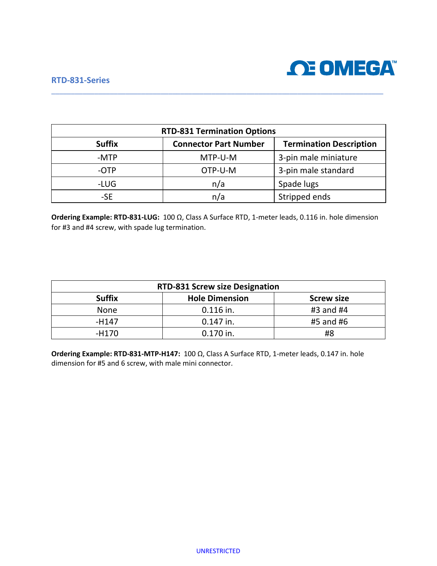#### **RTD-831-Series**



| <b>RTD-831 Termination Options</b> |                              |                                |  |  |
|------------------------------------|------------------------------|--------------------------------|--|--|
| <b>Suffix</b>                      | <b>Connector Part Number</b> | <b>Termination Description</b> |  |  |
| -MTP                               | MTP-U-M                      | 3-pin male miniature           |  |  |
| -OTP                               | OTP-U-M                      | 3-pin male standard            |  |  |
| -LUG                               | n/a                          | Spade lugs                     |  |  |
| -SE                                | n/a                          | Stripped ends                  |  |  |

\_\_\_\_\_\_\_\_\_\_\_\_\_\_\_\_\_\_\_\_\_\_\_\_\_\_\_\_\_\_\_\_\_\_\_\_\_\_\_\_\_\_\_\_\_\_\_\_\_\_\_\_\_\_\_\_\_\_\_\_\_\_\_\_\_\_\_\_\_\_\_\_\_\_\_\_\_\_\_\_\_\_\_\_\_

**Ordering Example: RTD-831-LUG:** 100 Ω, Class A Surface RTD, 1-meter leads, 0.116 in. hole dimension for #3 and #4 screw, with spade lug termination.

| <b>RTD-831 Screw size Designation</b> |                       |                   |  |
|---------------------------------------|-----------------------|-------------------|--|
| <b>Suffix</b>                         | <b>Hole Dimension</b> | <b>Screw size</b> |  |
| <b>None</b>                           | $0.116$ in.           | #3 and #4         |  |
| -H147                                 | 0.147 in.             | #5 and #6         |  |
| -H170                                 | 0.170 in.             | #8                |  |

**Ordering Example: RTD-831-MTP-H147:** 100 Ω, Class A Surface RTD, 1-meter leads, 0.147 in. hole dimension for #5 and 6 screw, with male mini connector.